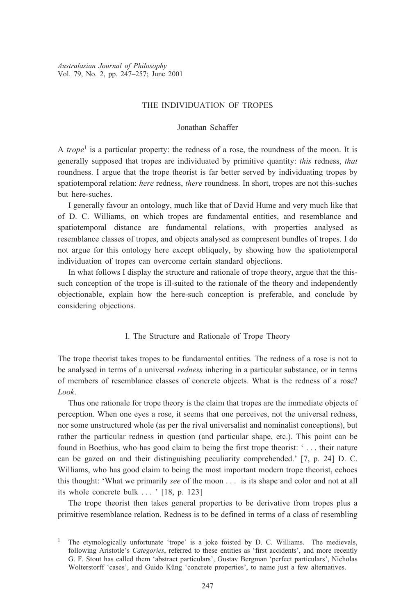# THE INDIVIDUATION OF TROPES

### Jonathan Schaffer

A *trope*<sup>1</sup> is a particular property: the redness of a rose, the roundness of the moon. It is generally supposed that tropes are individuated by primitive quantity: *this* redness, *that* roundness. I argue that the trope theorist is far better served by individuating tropes by spatiotemporal relation: *here* redness, *there* roundness. In short, tropes are not this-suches but here-suches.

I generally favour an ontology, much like that of David Hume and very much like that of D. C. Williams, on which tropes are fundamental entities, and resemblance and spatiotemporal distance are fundamental relations, with properties analysed as resemblance classes of tropes, and objects analysed as compresent bundles of tropes. I do not argue for this ontology here except obliquely, by showing how the spatiotemporal individuation of tropes can overcome certain standard objections.

In what follows I display the structure and rationale of trope theory, argue that the thissuch conception of the trope is ill-suited to the rationale of the theory and independently objectionable, explain how the here-such conception is preferable, and conclude by considering objections.

## I. The Structure and Rationale of Trope Theory

The trope theorist takes tropes to be fundamental entities. The redness of a rose is not to be analysed in terms of a universal *redness* inhering in a particular substance, or in terms of members of resemblance classes of concrete objects. What is the redness of a rose? *Look*.

Thus one rationale for trope theory is the claim that tropes are the immediate objects of perception. When one eyes a rose, it seems that one perceives, not the universal redness, nor some unstructured whole (as per the rival universalist and nominalist conceptions), but rather the particular redness in question (and particular shape, etc.). This point can be found in Boethius, who has good claim to being the first trope theorist: ' . . . their nature can be gazed on and their distinguishing peculiarity comprehended.' [7, p. 24] D. C. Williams, who has good claim to being the most important modern trope theorist, echoes this thought: 'What we primarily *see* of the moon . . . is its shape and color and not at all its whole concrete bulk . . . ' [18, p. 123]

The trope theorist then takes general properties to be derivative from tropes plus a primitive resemblance relation. Redness is to be defined in terms of a class of resembling

The etymologically unfortunate 'trope' is a joke foisted by D. C. Williams. The medievals, following Aristotle's *Categories*, referred to these entities as 'first accidents', and more recently G. F. Stout has called them 'abstract particulars', Gustav Bergman 'perfect particulars', Nicholas Wolterstorff 'cases', and Guido Küng 'concrete properties', to name just a few alternatives.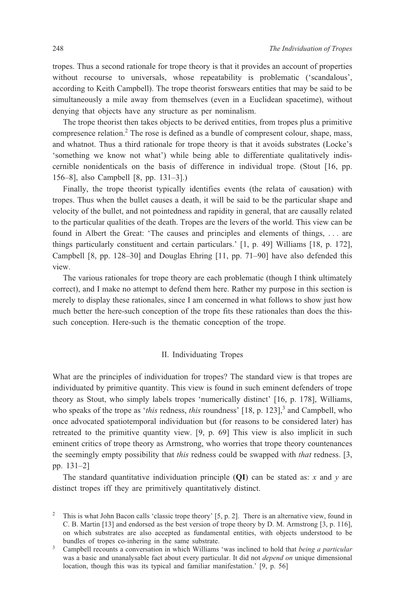tropes. Thus a second rationale for trope theory is that it provides an account of properties without recourse to universals, whose repeatability is problematic ('scandalous', according to Keith Campbell). The trope theorist forswears entities that may be said to be simultaneously a mile away from themselves (even in a Euclidean spacetime), without denying that objects have any structure as per nominalism.

The trope theorist then takes objects to be derived entities, from tropes plus a primitive compresence relation.<sup>2</sup> The rose is defined as a bundle of compresent colour, shape, mass, and whatnot. Thus a third rationale for trope theory is that it avoids substrates (Locke's 'something we know not what') while being able to differentiate qualitatively indiscernible nonidenticals on the basis of difference in individual trope. (Stout [16, pp. 156–8], also Campbell [8, pp. 131–3].)

Finally, the trope theorist typically identifies events (the relata of causation) with tropes. Thus when the bullet causes a death, it will be said to be the particular shape and velocity of the bullet, and not pointedness and rapidity in general, that are causally related to the particular qualities of the death. Tropes are the levers of the world. This view can be found in Albert the Great: 'The causes and principles and elements of things, . . . are things particularly constituent and certain particulars.' [1, p. 49] Williams [18, p. 172], Campbell [8, pp. 128–30] and Douglas Ehring [11, pp. 71–90] have also defended this view.

The various rationales for trope theory are each problematic (though I think ultimately correct), and I make no attempt to defend them here. Rather my purpose in this section is merely to display these rationales, since I am concerned in what follows to show just how much better the here-such conception of the trope fits these rationales than does the thissuch conception. Here-such is the thematic conception of the trope.

# II. Individuating Tropes

What are the principles of individuation for tropes? The standard view is that tropes are individuated by primitive quantity. This view is found in such eminent defenders of trope theory as Stout, who simply labels tropes 'numerically distinct' [16, p. 178], Williams, who speaks of the trope as '*this* redness, *this* roundness' [18, p. 123],<sup>3</sup> and Campbell, who once advocated spatiotemporal individuation but (for reasons to be considered later) has retreated to the primitive quantity view. [9, p. 69] This view is also implicit in such eminent critics of trope theory as Armstrong, who worries that trope theory countenances the seemingly empty possibility that *this* redness could be swapped with *that* redness. [3, pp. 131–2]

The standard quantitative individuation principle  $(QI)$  can be stated as: *x* and *y* are distinct tropes iff they are primitively quantitatively distinct.

<sup>&</sup>lt;sup>2</sup> This is what John Bacon calls 'classic trope theory'  $[5, p. 2]$ . There is an alternative view, found in C. B. Martin [13] and endorsed as the best version of trope theory by D. M. Armstrong [3, p. 116], on which substrates are also accepted as fundamental entities, with objects understood to be bundles of tropes co-inhering in the same substrate.

<sup>3</sup> Campbell recounts a conversation in which Williams 'was inclined to hold that *being a particular* was a basic and unanalysable fact about every particular. It did not *depend on* unique dimensional location, though this was its typical and familiar manifestation.' [9, p. 56]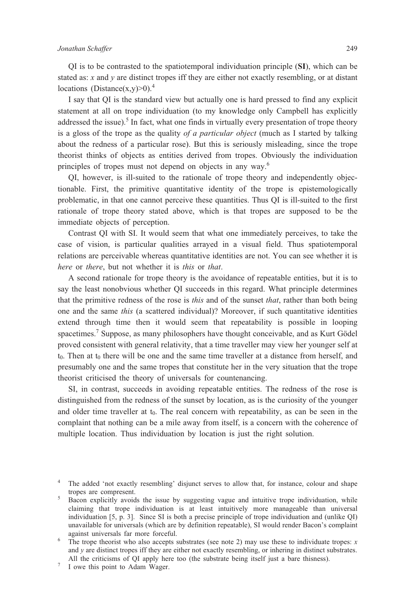#### *Jonathan Schaffer* 249

QI is to be contrasted to the spatiotemporal individuation principle (**SI**), which can be stated as: *x* and *y* are distinct tropes iff they are either not exactly resembling, or at distant locations (Distance(x,y) $>0$ ).<sup>4</sup>

I say that QI is the standard view but actually one is hard pressed to find any explicit statement at all on trope individuation (to my knowledge only Campbell has explicitly addressed the issue).<sup>5</sup> In fact, what one finds in virtually every presentation of trope theory is a gloss of the trope as the quality *of a particular object* (much as I started by talking about the redness of a particular rose). But this is seriously misleading, since the trope theorist thinks of objects as entities derived from tropes. Obviously the individuation principles of tropes must not depend on objects in any way.<sup>6</sup>

QI, however, is ill-suited to the rationale of trope theory and independently objectionable. First, the primitive quantitative identity of the trope is epistemologically problematic, in that one cannot perceive these quantities. Thus QI is ill-suited to the first rationale of trope theory stated above, which is that tropes are supposed to be the immediate objects of perception.

Contrast QI with SI. It would seem that what one immediately perceives, to take the case of vision, is particular qualities arrayed in a visual field. Thus spatiotemporal relations are perceivable whereas quantitative identities are not. You can see whether it is *here* or *there*, but not whether it is *this* or *that*.

A second rationale for trope theory is the avoidance of repeatable entities, but it is to say the least nonobvious whether QI succeeds in this regard. What principle determines that the primitive redness of the rose is *this* and of the sunset *that*, rather than both being one and the same *this* (a scattered individual)? Moreover, if such quantitative identities extend through time then it would seem that repeatability is possible in looping spacetimes.<sup>7</sup> Suppose, as many philosophers have thought conceivable, and as Kurt Gödel proved consistent with general relativity, that a time traveller may view her younger self at  $t<sub>0</sub>$ . Then at  $t<sub>0</sub>$  there will be one and the same time traveller at a distance from herself, and presumably one and the same tropes that constitute her in the very situation that the trope theorist criticised the theory of universals for countenancing.

SI, in contrast, succeeds in avoiding repeatable entities. The redness of the rose is distinguished from the redness of the sunset by location, as is the curiosity of the younger and older time traveller at  $t_0$ . The real concern with repeatability, as can be seen in the complaint that nothing can be a mile away from itself, is a concern with the coherence of multiple location. Thus individuation by location is just the right solution.

<sup>&</sup>lt;sup>4</sup> The added 'not exactly resembling' disjunct serves to allow that, for instance, colour and shape tropes are compresent.

<sup>&</sup>lt;sup>5</sup> Bacon explicitly avoids the issue by suggesting vague and intuitive trope individuation, while claiming that trope individuation is at least intuitively more manageable than universal individuation [5, p. 3]. Since SI is both a precise principle of trope individuation and (unlike QI) unavailable for universals (which are by definition repeatable), SI would render Bacon's complaint against universals far more forceful.

 $6$  The trope theorist who also accepts substrates (see note 2) may use these to individuate tropes: *x* and *y* are distinct tropes iff they are either not exactly resembling, or inhering in distinct substrates. All the criticisms of QI apply here too (the substrate being itself just a bare thisness).

<sup>7</sup> I owe this point to Adam Wager.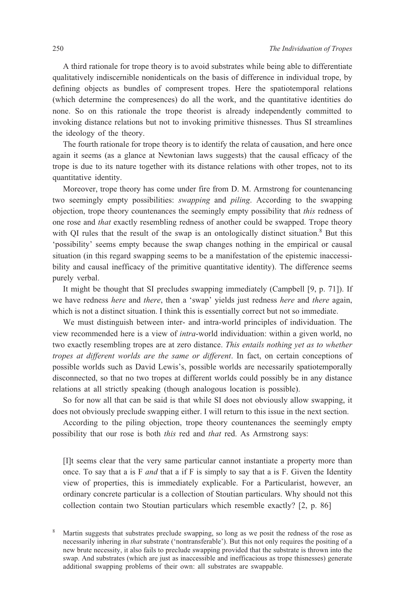A third rationale for trope theory is to avoid substrates while being able to differentiate qualitatively indiscernible nonidenticals on the basis of difference in individual trope, by defining objects as bundles of compresent tropes. Here the spatiotemporal relations (which determine the compresences) do all the work, and the quantitative identities do none. So on this rationale the trope theorist is already independently committed to invoking distance relations but not to invoking primitive thisnesses. Thus SI streamlines the ideology of the theory.

The fourth rationale for trope theory is to identify the relata of causation, and here once again it seems (as a glance at Newtonian laws suggests) that the causal efficacy of the trope is due to its nature together with its distance relations with other tropes, not to its quantitative identity.

Moreover, trope theory has come under fire from D. M. Armstrong for countenancing two seemingly empty possibilities: *swapping* and *piling*. According to the swapping objection, trope theory countenances the seemingly empty possibility that *this* redness of one rose and *that* exactly resembling redness of another could be swapped. Trope theory with QI rules that the result of the swap is an ontologically distinct situation.<sup>8</sup> But this 'possibility' seems empty because the swap changes nothing in the empirical or causal situation (in this regard swapping seems to be a manifestation of the epistemic inaccessibility and causal inefficacy of the primitive quantitative identity). The difference seems purely verbal.

It might be thought that SI precludes swapping immediately (Campbell [9, p. 71]). If we have redness *here* and *there*, then a 'swap' yields just redness *here* and *there* again, which is not a distinct situation. I think this is essentially correct but not so immediate.

We must distinguish between inter- and intra-world principles of individuation. The view recommended here is a view of *intra*-world individuation: within a given world, no two exactly resembling tropes are at zero distance. *This entails nothing yet as to whether tropes at different worlds are the same or different*. In fact, on certain conceptions of possible worlds such as David Lewis's, possible worlds are necessarily spatiotemporally disconnected, so that no two tropes at different worlds could possibly be in any distance relations at all strictly speaking (though analogous location is possible).

So for now all that can be said is that while SI does not obviously allow swapping, it does not obviously preclude swapping either. I will return to this issue in the next section.

According to the piling objection, trope theory countenances the seemingly empty possibility that our rose is both *this* red and *that* red. As Armstrong says:

[I]t seems clear that the very same particular cannot instantiate a property more than once. To say that a is F *and* that a if F is simply to say that a is F. Given the Identity view of properties, this is immediately explicable. For a Particularist, however, an ordinary concrete particular is a collection of Stoutian particulars. Why should not this collection contain two Stoutian particulars which resemble exactly? [2, p. 86]

Martin suggests that substrates preclude swapping, so long as we posit the redness of the rose as necessarily inhering in *that* substrate ('nontransferable'). But this not only requires the positing of a new brute necessity, it also fails to preclude swapping provided that the substrate is thrown into the swap. And substrates (which are just as inaccessible and inefficacious as trope thisnesses) generate additional swapping problems of their own: all substrates are swappable.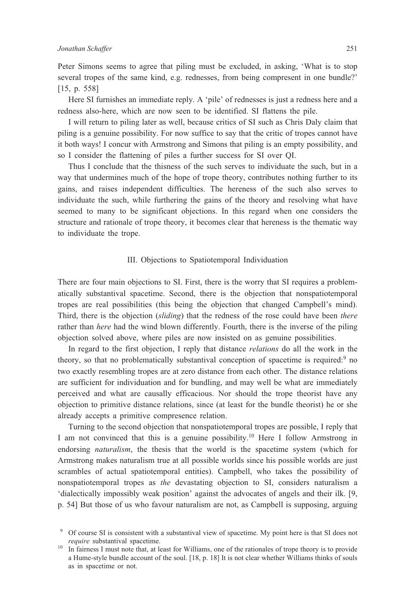Peter Simons seems to agree that piling must be excluded, in asking, 'What is to stop several tropes of the same kind, e.g. rednesses, from being compresent in one bundle?' [15, p. 558]

Here SI furnishes an immediate reply. A 'pile' of rednesses is just a redness here and a redness also-here, which are now seen to be identified. SI flattens the pile.

I will return to piling later as well, because critics of SI such as Chris Daly claim that piling is a genuine possibility. For now suffice to say that the critic of tropes cannot have it both ways! I concur with Armstrong and Simons that piling is an empty possibility, and so I consider the flattening of piles a further success for SI over QI.

Thus I conclude that the thisness of the such serves to individuate the such, but in a way that undermines much of the hope of trope theory, contributes nothing further to its gains, and raises independent difficulties. The hereness of the such also serves to individuate the such, while furthering the gains of the theory and resolving what have seemed to many to be significant objections. In this regard when one considers the structure and rationale of trope theory, it becomes clear that hereness is the thematic way to individuate the trope.

## III. Objections to Spatiotemporal Individuation

There are four main objections to SI. First, there is the worry that SI requires a problematically substantival spacetime. Second, there is the objection that nonspatiotemporal tropes are real possibilities (this being the objection that changed Campbell's mind). Third, there is the objection (*sliding*) that the redness of the rose could have been *there* rather than *here* had the wind blown differently. Fourth, there is the inverse of the piling objection solved above, where piles are now insisted on as genuine possibilities.

In regard to the first objection, I reply that distance *relations* do all the work in the theory, so that no problematically substantival conception of spacetime is required:<sup>9</sup> no two exactly resembling tropes are at zero distance from each other. The distance relations are sufficient for individuation and for bundling, and may well be what are immediately perceived and what are causally efficacious. Nor should the trope theorist have any objection to primitive distance relations, since (at least for the bundle theorist) he or she already accepts a primitive compresence relation.

Turning to the second objection that nonspatiotemporal tropes are possible, I reply that I am not convinced that this is a genuine possibility.10 Here I follow Armstrong in endorsing *naturalism*, the thesis that the world is the spacetime system (which for Armstrong makes naturalism true at all possible worlds since his possible worlds are just scrambles of actual spatiotemporal entities). Campbell, who takes the possibility of nonspatiotemporal tropes as *the* devastating objection to SI, considers naturalism a 'dialectically impossibly weak position' against the advocates of angels and their ilk. [9, p. 54] But those of us who favour naturalism are not, as Campbell is supposing, arguing

<sup>&</sup>lt;sup>9</sup> Of course SI is consistent with a substantival view of spacetime. My point here is that SI does not *require* substantival spacetime.

<sup>&</sup>lt;sup>10</sup> In fairness I must note that, at least for Williams, one of the rationales of trope theory is to provide a Hume-style bundle account of the soul. [18, p. 18] It is not clear whether Williams thinks of souls as in spacetime or not.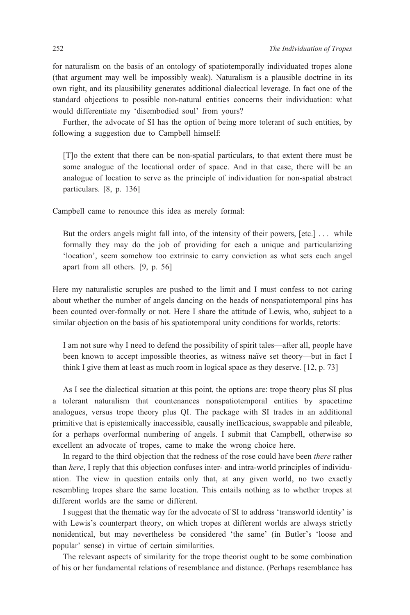for naturalism on the basis of an ontology of spatiotemporally individuated tropes alone (that argument may well be impossibly weak). Naturalism is a plausible doctrine in its own right, and its plausibility generates additional dialectical leverage. In fact one of the standard objections to possible non-natural entities concerns their individuation: what would differentiate my 'disembodied soul' from yours?

Further, the advocate of SI has the option of being more tolerant of such entities, by following a suggestion due to Campbell himself:

[T]o the extent that there can be non-spatial particulars, to that extent there must be some analogue of the locational order of space. And in that case, there will be an analogue of location to serve as the principle of individuation for non-spatial abstract particulars. [8, p. 136]

Campbell came to renounce this idea as merely formal:

But the orders angels might fall into, of the intensity of their powers, [etc.] . . . while formally they may do the job of providing for each a unique and particularizing 'location', seem somehow too extrinsic to carry conviction as what sets each angel apart from all others. [9, p. 56]

Here my naturalistic scruples are pushed to the limit and I must confess to not caring about whether the number of angels dancing on the heads of nonspatiotemporal pins has been counted over-formally or not. Here I share the attitude of Lewis, who, subject to a similar objection on the basis of his spatiotemporal unity conditions for worlds, retorts:

I am not sure why I need to defend the possibility of spirit tales—after all, people have been known to accept impossible theories, as witness naïve set theory—but in fact I think I give them at least as much room in logical space as they deserve. [12, p. 73]

As I see the dialectical situation at this point, the options are: trope theory plus SI plus a tolerant naturalism that countenances nonspatiotemporal entities by spacetime analogues, versus trope theory plus QI. The package with SI trades in an additional primitive that is epistemically inaccessible, causally inefficacious, swappable and pileable, for a perhaps overformal numbering of angels. I submit that Campbell, otherwise so excellent an advocate of tropes, came to make the wrong choice here.

In regard to the third objection that the redness of the rose could have been *there* rather than *here*, I reply that this objection confuses inter- and intra-world principles of individuation. The view in question entails only that, at any given world, no two exactly resembling tropes share the same location. This entails nothing as to whether tropes at different worlds are the same or different.

I suggest that the thematic way for the advocate of SI to address 'transworld identity' is with Lewis's counterpart theory, on which tropes at different worlds are always strictly nonidentical, but may nevertheless be considered 'the same' (in Butler's 'loose and popular' sense) in virtue of certain similarities.

The relevant aspects of similarity for the trope theorist ought to be some combination of his or her fundamental relations of resemblance and distance. (Perhaps resemblance has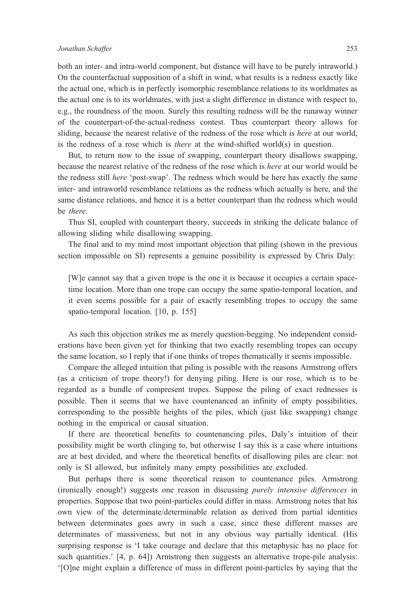#### *Jonathan Schaffer* 253

both an inter- and intra-world component, but distance will have to be purely intraworld.) On the counterfactual supposition of a shift in wind, what results is a redness exactly like the actual one, which is in perfectly isomorphic resemblance relations to its worldmates as the actual one is to its worldmates, with just a slight difference in distance with respect to, e.g., the roundness of the moon. Surely this resulting redness will be the runaway winner of the counterpart-of-the-actual-redness contest. Thus counterpart theory allows for sliding, because the nearest relative of the redness of the rose which is *here* at our world, is the redness of a rose which is *there* at the wind-shifted world(s) in question.

But, to return now to the issue of swapping, counterpart theory disallows swapping, because the nearest relative of the redness of the rose which is *here* at our world would be the redness still *here* 'post-swap'. The redness which would be here has exactly the same inter- and intraworld resemblance relations as the redness which actually is here, and the same distance relations, and hence it is a better counterpart than the redness which would be *there*.

Thus SI, coupled with counterpart theory, succeeds in striking the delicate balance of allowing sliding while disallowing swapping.

The final and to my mind most important objection that piling (shown in the previous section impossible on SI) represents a genuine possibility is expressed by Chris Daly:

[W]e cannot say that a given trope is the one it is because it occupies a certain spacetime location. More than one trope can occupy the same spatio-temporal location, and it even seems possible for a pair of exactly resembling tropes to occupy the same spatio-temporal location. [10, p. 155]

As such this objection strikes me as merely question-begging. No independent considerations have been given yet for thinking that two exactly resembling tropes can occupy the same location, so I reply that if one thinks of tropes thematically it seems impossible.

Compare the alleged intuition that piling is possible with the reasons Armstrong offers (as a criticism of trope theory!) for denying piling. Here is our rose, which is to be regarded as a bundle of compresent tropes. Suppose the piling of exact rednesses is possible. Then it seems that we have countenanced an infinity of empty possibilities, corresponding to the possible heights of the piles, which (just like swapping) change nothing in the empirical or causal situation.

If there are theoretical benefits to countenancing piles, Daly's intuition of their possibility might be worth clinging to, but otherwise I say this is a case where intuitions are at best divided, and where the theoretical benefits of disallowing piles are clear: not only is SI allowed, but infinitely many empty possibilities are excluded.

But perhaps there is some theoretical reason to countenance piles. Armstrong (ironically enough!) suggests one reason in discussing *purely intensive differences* in properties. Suppose that two point-particles could differ in mass. Armstrong notes that his own view of the determinate/determinable relation as derived from partial identities between determinates goes awry in such a case, since these different masses are determinates of massiveness, but not in any obvious way partially identical. (His surprising response is 'I take courage and declare that this metaphysic has no place for such quantities.' [4, p. 64]) Armstrong then suggests an alternative trope-pile analysis: '[O]ne might explain a difference of mass in different point-particles by saying that the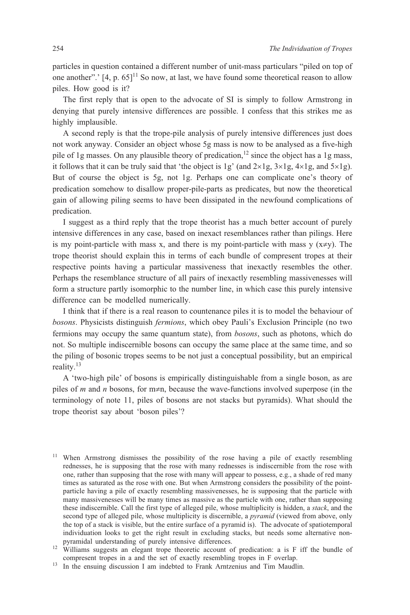particles in question contained a different number of unit-mass particulars "piled on top of one another".'  $[4, p. 65]$ <sup>11</sup> So now, at last, we have found some theoretical reason to allow piles. How good is it?

The first reply that is open to the advocate of SI is simply to follow Armstrong in denying that purely intensive differences are possible. I confess that this strikes me as highly implausible.

A second reply is that the trope-pile analysis of purely intensive differences just does not work anyway. Consider an object whose 5g mass is now to be analysed as a five-high pile of 1g masses. On any plausible theory of predication,<sup>12</sup> since the object has a 1g mass, it follows that it can be truly said that 'the object is 1g' (and  $2\times1g$ ,  $3\times1g$ ,  $4\times1g$ , and  $5\times1g$ ). But of course the object is 5g, not 1g. Perhaps one can complicate one's theory of predication somehow to disallow proper-pile-parts as predicates, but now the theoretical gain of allowing piling seems to have been dissipated in the newfound complications of predication.

I suggest as a third reply that the trope theorist has a much better account of purely intensive differences in any case, based on inexact resemblances rather than pilings. Here is my point-particle with mass x, and there is my point-particle with mass y  $(x \neq y)$ . The trope theorist should explain this in terms of each bundle of compresent tropes at their respective points having a particular massiveness that inexactly resembles the other. Perhaps the resemblance structure of all pairs of inexactly resembling massivenesses will form a structure partly isomorphic to the number line, in which case this purely intensive difference can be modelled numerically.

I think that if there is a real reason to countenance piles it is to model the behaviour of *bosons*. Physicists distinguish *fermions*, which obey Pauli's Exclusion Principle (no two fermions may occupy the same quantum state), from *bosons*, such as photons, which do not. So multiple indiscernible bosons can occupy the same place at the same time, and so the piling of bosonic tropes seems to be not just a conceptual possibility, but an empirical reality.<sup>13</sup>

A 'two-high pile' of bosons is empirically distinguishable from a single boson, as are piles of  $m$  and  $n$  bosons, for  $m \neq n$ , because the wave-functions involved superpose (in the terminology of note 11, piles of bosons are not stacks but pyramids). What should the trope theorist say about 'boson piles'?

- <sup>11</sup> When Armstrong dismisses the possibility of the rose having a pile of exactly resembling rednesses, he is supposing that the rose with many rednesses is indiscernible from the rose with one, rather than supposing that the rose with many will appear to possess, e.g., a shade of red many times as saturated as the rose with one. But when Armstrong considers the possibility of the pointparticle having a pile of exactly resembling massivenesses, he is supposing that the particle with many massivenesses will be many times as massive as the particle with one, rather than supposing these indiscernible. Call the first type of alleged pile, whose multiplicity is hidden, a *stack*, and the second type of alleged pile, whose multiplicity is discernible, a *pyramid* (viewed from above, only the top of a stack is visible, but the entire surface of a pyramid is). The advocate of spatiotemporal individuation looks to get the right result in excluding stacks, but needs some alternative nonpyramidal understanding of purely intensive differences.
- <sup>12</sup> Williams suggests an elegant trope theoretic account of predication: a is F iff the bundle of compresent tropes in a and the set of exactly resembling tropes in F overlap.
- <sup>13</sup> In the ensuing discussion I am indebted to Frank Arntzenius and Tim Maudlin.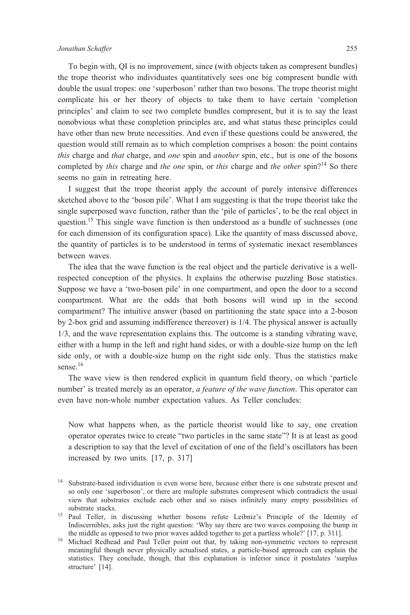#### *Jonathan Schaffer* 255

To begin with, QI is no improvement, since (with objects taken as compresent bundles) the trope theorist who individuates quantitatively sees one big compresent bundle with double the usual tropes: one 'superboson' rather than two bosons. The trope theorist might complicate his or her theory of objects to take them to have certain 'completion principles' and claim to see two complete bundles compresent, but it is to say the least nonobvious what these completion principles are, and what status these principles could have other than new brute necessities. And even if these questions could be answered, the question would still remain as to which completion comprises a boson: the point contains *this* charge and *that* charge, and *one* spin and *another* spin, etc., but is one of the bosons completed by *this* charge and *the one* spin, or *this* charge and *the other* spin?14 So there seems no gain in retreating here.

I suggest that the trope theorist apply the account of purely intensive differences sketched above to the 'boson pile'. What I am suggesting is that the trope theorist take the single superposed wave function, rather than the 'pile of particles', to be the real object in question.<sup>15</sup> This single wave function is then understood as a bundle of suchnesses (one for each dimension of its configuration space). Like the quantity of mass discussed above, the quantity of particles is to be understood in terms of systematic inexact resemblances between waves.

The idea that the wave function is the real object and the particle derivative is a wellrespected conception of the physics. It explains the otherwise puzzling Bose statistics. Suppose we have a 'two-boson pile' in one compartment, and open the door to a second compartment. What are the odds that both bosons will wind up in the second compartment? The intuitive answer (based on partitioning the state space into a 2-boson by 2-box grid and assuming indifference thereover) is 1/4. The physical answer is actually 1/3, and the wave representation explains this. The outcome is a standing vibrating wave, either with a hump in the left and right hand sides, or with a double-size hump on the left side only, or with a double-size hump on the right side only. Thus the statistics make sense.<sup>16</sup>

The wave view is then rendered explicit in quantum field theory, on which 'particle number' is treated merely as an operator, *a feature of the wave function*. This operator can even have non-whole number expectation values. As Teller concludes:

Now what happens when, as the particle theorist would like to say, one creation operator operates twice to create "two particles in the same state"? It is at least as good a description to say that the level of excitation of one of the field's oscillators has been increased by two units. [17, p. 317]

<sup>&</sup>lt;sup>14</sup> Substrate-based individuation is even worse here, because either there is one substrate present and so only one 'superboson', or there are multiple substrates compresent which contradicts the usual view that substrates exclude each other and so raises infinitely many empty possibilities of substrate stacks.

<sup>15</sup> Paul Teller, in discussing whether bosons refute Leibniz's Principle of the Identity of Indiscernibles, asks just the right question: 'Why say there are two waves composing the bump in the middle as opposed to two prior waves added together to get a partless whole?' [17, p. 311].

<sup>&</sup>lt;sup>16</sup> Michael Redhead and Paul Teller point out that, by taking non-symmetric vectors to represent meaningful though never physically actualised states, a particle-based approach can explain the statistics. They conclude, though, that this explanation is inferior since it postulates 'surplus structure' [14].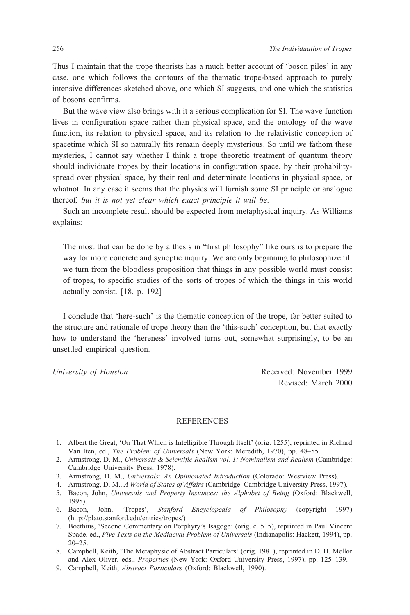Thus I maintain that the trope theorists has a much better account of 'boson piles' in any case, one which follows the contours of the thematic trope-based approach to purely intensive differences sketched above, one which SI suggests, and one which the statistics of bosons confirms.

But the wave view also brings with it a serious complication for SI. The wave function lives in configuration space rather than physical space, and the ontology of the wave function, its relation to physical space, and its relation to the relativistic conception of spacetime which SI so naturally fits remain deeply mysterious. So until we fathom these mysteries, I cannot say whether I think a trope theoretic treatment of quantum theory should individuate tropes by their locations in configuration space, by their probabilityspread over physical space, by their real and determinate locations in physical space, or whatnot. In any case it seems that the physics will furnish some SI principle or analogue thereof*, but it is not yet clear which exact principle it will be*.

Such an incomplete result should be expected from metaphysical inquiry. As Williams explains:

The most that can be done by a thesis in "first philosophy" like ours is to prepare the way for more concrete and synoptic inquiry. We are only beginning to philosophize till we turn from the bloodless proposition that things in any possible world must consist of tropes, to specific studies of the sorts of tropes of which the things in this world actually consist. [18, p. 192]

I conclude that 'here-such' is the thematic conception of the trope, far better suited to the structure and rationale of trope theory than the 'this-such' conception, but that exactly how to understand the 'hereness' involved turns out, somewhat surprisingly, to be an unsettled empirical question.

*University of Houston* Received: November 1999 Revised: March 2000

### **REFERENCES**

- 1. Albert the Great, 'On That Which is Intelligible Through Itself' (orig. 1255), reprinted in Richard Van Iten, ed., *The Problem of Universals* (New York: Meredith, 1970), pp. 48–55.
- 2. Armstrong, D. M., *Universals & Scientific Realism vol. 1: Nominalism and Realism* (Cambridge: Cambridge University Press, 1978).
- 3. Armstrong, D. M., *Universals: An Opinionated Introduction* (Colorado: Westview Press).
- 4. Armstrong, D. M., *A World of States of Affairs* (Cambridge: Cambridge University Press, 1997).
- 5. Bacon, John, *Universals and Property Instances: the Alphabet of Being* (Oxford: Blackwell, 1995).
- 6. Bacon, John, 'Tropes', *Stanford Encyclopedia of Philosophy* (copyright 1997) [\(http://plato.stanford.edu/entries/tropes/\)](http://plato.stanford.edu/entries/tropes/)
- 7. Boethius, 'Second Commentary on Porphyry's Isagoge' (orig. c. 515), reprinted in Paul Vincent Spade, ed., *Five Texts on the Mediaeval Problem of Universals* (Indianapolis: Hackett, 1994), pp. 20–25.
- 8. Campbell, Keith, 'The Metaphysic of Abstract Particulars' (orig. 1981), reprinted in D. H. Mellor and Alex Oliver, eds., *Properties* (New York: Oxford University Press, 1997), pp. 125–139.
- 9. Campbell, Keith, *Abstract Particulars* (Oxford: Blackwell, 1990).